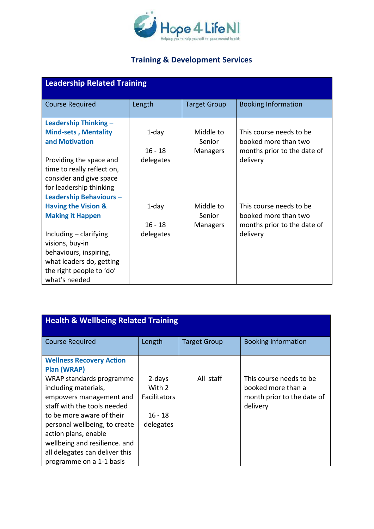

| <b>Leadership Related Training</b> |           |                     |                             |
|------------------------------------|-----------|---------------------|-----------------------------|
| <b>Course Required</b>             | Length    | <b>Target Group</b> | <b>Booking Information</b>  |
| Leadership Thinking -              |           |                     |                             |
| <b>Mind-sets, Mentality</b>        | $1$ -day  | Middle to           | This course needs to be     |
| and Motivation                     |           | Senior              | booked more than two        |
|                                    | $16 - 18$ | <b>Managers</b>     | months prior to the date of |
| Providing the space and            | delegates |                     | delivery                    |
| time to really reflect on,         |           |                     |                             |
| consider and give space            |           |                     |                             |
| for leadership thinking            |           |                     |                             |
| <b>Leadership Behaviours-</b>      |           |                     |                             |
| <b>Having the Vision &amp;</b>     | $1$ -day  | Middle to           | This course needs to be     |
| <b>Making it Happen</b>            |           | Senior              | booked more than two        |
|                                    | $16 - 18$ | <b>Managers</b>     | months prior to the date of |
| Including $-$ clarifying           | delegates |                     | delivery                    |
| visions, buy-in                    |           |                     |                             |
| behaviours, inspiring,             |           |                     |                             |
| what leaders do, getting           |           |                     |                             |
| the right people to 'do'           |           |                     |                             |
| what's needed                      |           |                     |                             |

| <b>Health &amp; Wellbeing Related Training</b>                                                                                                                                                                                                                                                                                                           |                                                                   |                     |                                                                                         |  |
|----------------------------------------------------------------------------------------------------------------------------------------------------------------------------------------------------------------------------------------------------------------------------------------------------------------------------------------------------------|-------------------------------------------------------------------|---------------------|-----------------------------------------------------------------------------------------|--|
| <b>Course Required</b>                                                                                                                                                                                                                                                                                                                                   | Length                                                            | <b>Target Group</b> | <b>Booking information</b>                                                              |  |
| <b>Wellness Recovery Action</b><br><b>Plan (WRAP)</b><br>WRAP standards programme<br>including materials,<br>empowers management and<br>staff with the tools needed<br>to be more aware of their<br>personal wellbeing, to create<br>action plans, enable<br>wellbeing and resilience. and<br>all delegates can deliver this<br>programme on a 1-1 basis | 2-days<br>With 2<br><b>Facilitators</b><br>$16 - 18$<br>delegates | All staff           | This course needs to be<br>booked more than a<br>month prior to the date of<br>delivery |  |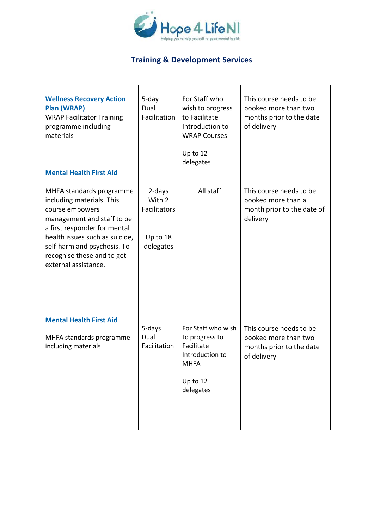

| <b>Wellness Recovery Action</b><br>Plan (WRAP)<br><b>WRAP Facilitator Training</b><br>programme including<br>materials                                                                                                                                        | 5-day<br>Dual<br>Facilitation                                    | For Staff who<br>wish to progress<br>to Facilitate<br>Introduction to<br><b>WRAP Courses</b><br>Up to 12<br>delegates | This course needs to be<br>booked more than two<br>months prior to the date<br>of delivery |
|---------------------------------------------------------------------------------------------------------------------------------------------------------------------------------------------------------------------------------------------------------------|------------------------------------------------------------------|-----------------------------------------------------------------------------------------------------------------------|--------------------------------------------------------------------------------------------|
| <b>Mental Health First Aid</b>                                                                                                                                                                                                                                |                                                                  |                                                                                                                       |                                                                                            |
| MHFA standards programme<br>including materials. This<br>course empowers<br>management and staff to be<br>a first responder for mental<br>health issues such as suicide,<br>self-harm and psychosis. To<br>recognise these and to get<br>external assistance. | 2-days<br>With 2<br><b>Facilitators</b><br>Up to 18<br>delegates | All staff                                                                                                             | This course needs to be<br>booked more than a<br>month prior to the date of<br>delivery    |
| <b>Mental Health First Aid</b><br>MHFA standards programme<br>including materials                                                                                                                                                                             | 5-days<br>Dual<br>Facilitation                                   | For Staff who wish<br>to progress to<br>Facilitate<br>Introduction to<br><b>MHFA</b><br>Up to 12<br>delegates         | This course needs to be<br>booked more than two<br>months prior to the date<br>of delivery |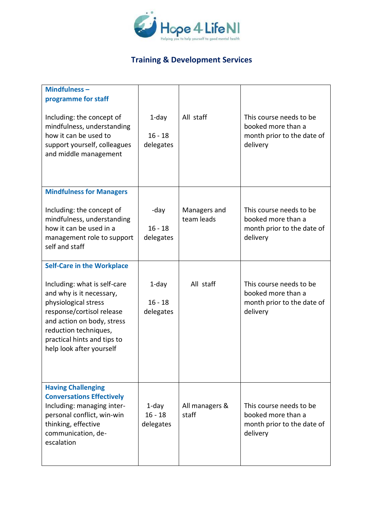

| Mindfulness-<br>programme for staff<br>Including: the concept of<br>mindfulness, understanding<br>how it can be used to<br>support yourself, colleagues<br>and middle management                                                                                     | $1$ -day<br>$16 - 18$<br>delegates | All staff                  | This course needs to be<br>booked more than a<br>month prior to the date of<br>delivery |
|----------------------------------------------------------------------------------------------------------------------------------------------------------------------------------------------------------------------------------------------------------------------|------------------------------------|----------------------------|-----------------------------------------------------------------------------------------|
| <b>Mindfulness for Managers</b><br>Including: the concept of<br>mindfulness, understanding<br>how it can be used in a<br>management role to support<br>self and staff                                                                                                | -day<br>$16 - 18$<br>delegates     | Managers and<br>team leads | This course needs to be<br>booked more than a<br>month prior to the date of<br>delivery |
| <b>Self-Care in the Workplace</b><br>Including: what is self-care<br>and why is it necessary,<br>physiological stress<br>response/cortisol release<br>and action on body, stress<br>reduction techniques,<br>practical hints and tips to<br>help look after yourself | $1$ -day<br>$16 - 18$<br>delegates | All staff                  | This course needs to be<br>booked more than a<br>month prior to the date of<br>delivery |
| <b>Having Challenging</b><br><b>Conversations Effectively</b><br>Including: managing inter-<br>personal conflict, win-win<br>thinking, effective<br>communication, de-<br>escalation                                                                                 | 1-day<br>$16 - 18$<br>delegates    | All managers &<br>staff    | This course needs to be<br>booked more than a<br>month prior to the date of<br>delivery |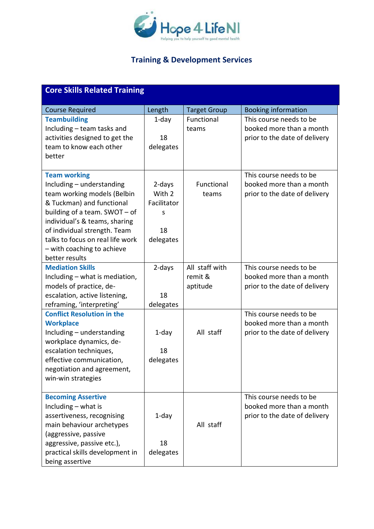

| <b>Core Skills Related Training</b>                                                                                                                                                                                                                                                                |                                                         |                                       |                                                                                      |  |
|----------------------------------------------------------------------------------------------------------------------------------------------------------------------------------------------------------------------------------------------------------------------------------------------------|---------------------------------------------------------|---------------------------------------|--------------------------------------------------------------------------------------|--|
| <b>Course Required</b>                                                                                                                                                                                                                                                                             | Length                                                  | <b>Target Group</b>                   | <b>Booking information</b>                                                           |  |
| <b>Teambuilding</b><br>Including - team tasks and<br>activities designed to get the<br>team to know each other<br>better                                                                                                                                                                           | $1$ -day<br>18<br>delegates                             | Functional<br>teams                   | This course needs to be<br>booked more than a month<br>prior to the date of delivery |  |
| <b>Team working</b><br>Including - understanding<br>team working models (Belbin<br>& Tuckman) and functional<br>building of a team. SWOT - of<br>individual's & teams, sharing<br>of individual strength. Team<br>talks to focus on real life work<br>- with coaching to achieve<br>better results | 2-days<br>With 2<br>Facilitator<br>S<br>18<br>delegates | Functional<br>teams                   | This course needs to be<br>booked more than a month<br>prior to the date of delivery |  |
| <b>Mediation Skills</b><br>Including - what is mediation,<br>models of practice, de-<br>escalation, active listening,<br>reframing, 'interpreting'                                                                                                                                                 | 2-days<br>18<br>delegates                               | All staff with<br>remit &<br>aptitude | This course needs to be<br>booked more than a month<br>prior to the date of delivery |  |
| <b>Conflict Resolution in the</b><br><b>Workplace</b><br>Including - understanding<br>workplace dynamics, de-<br>escalation techniques,<br>effective communication,<br>negotiation and agreement,<br>win-win strategies                                                                            | $1$ -day<br>18<br>delegates                             | All staff                             | This course needs to be<br>booked more than a month<br>prior to the date of delivery |  |
| <b>Becoming Assertive</b><br>Including $-$ what is<br>assertiveness, recognising<br>main behaviour archetypes<br>(aggressive, passive<br>aggressive, passive etc.),<br>practical skills development in<br>being assertive                                                                          | 1-day<br>18<br>delegates                                | All staff                             | This course needs to be<br>booked more than a month<br>prior to the date of delivery |  |